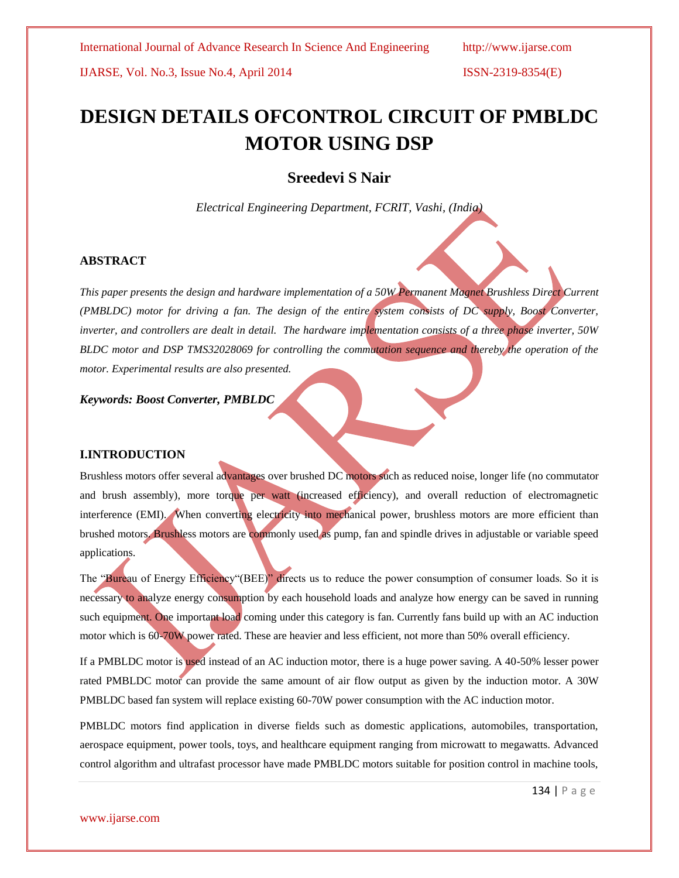IJARSE, Vol. No.3, Issue No.4, April 2014 ISSN-2319-8354(E)

# **DESIGN DETAILS OFCONTROL CIRCUIT OF PMBLDC MOTOR USING DSP**

# **Sreedevi S Nair**

*Electrical Engineering Department, FCRIT, Vashi, (India)*

# **ABSTRACT**

*This paper presents the design and hardware implementation of a 50W Permanent Magnet Brushless Direct Current (PMBLDC) motor for driving a fan. The design of the entire system consists of DC supply, Boost Converter, inverter, and controllers are dealt in detail. The hardware implementation consists of a three phase inverter, 50W BLDC motor and DSP TMS32028069 for controlling the commutation sequence and thereby the operation of the motor. Experimental results are also presented.*

# *Keywords: Boost Converter, PMBLDC*

# **I.INTRODUCTION**

Brushless motors offer several advantages over brushed DC motors such as reduced noise, longer life (no commutator and brush assembly), more torque per watt (increased efficiency), and overall reduction of electromagnetic interference (EMI). When converting electricity into mechanical power, brushless motors are more efficient than brushed motors. Brushless motors are commonly used as pump, fan and spindle drives in adjustable or variable speed applications.

The "Bureau of Energy Efficiency"(BEE)" directs us to reduce the power consumption of consumer loads. So it is necessary to analyze energy consumption by each household loads and analyze how energy can be saved in running such equipment. One important load coming under this category is fan. Currently fans build up with an AC induction motor which is 60-70W power rated. These are heavier and less efficient, not more than 50% overall efficiency.

If a PMBLDC motor is used instead of an AC induction motor, there is a huge power saving. A 40-50% lesser power rated PMBLDC motor can provide the same amount of air flow output as given by the induction motor. A 30W PMBLDC based fan system will replace existing 60-70W power consumption with the AC induction motor.

PMBLDC motors find application in diverse fields such as domestic applications, automobiles, transportation, aerospace equipment, power tools, toys, and healthcare equipment ranging from microwatt to megawatts. Advanced control algorithm and ultrafast processor have made PMBLDC motors suitable for position control in machine tools,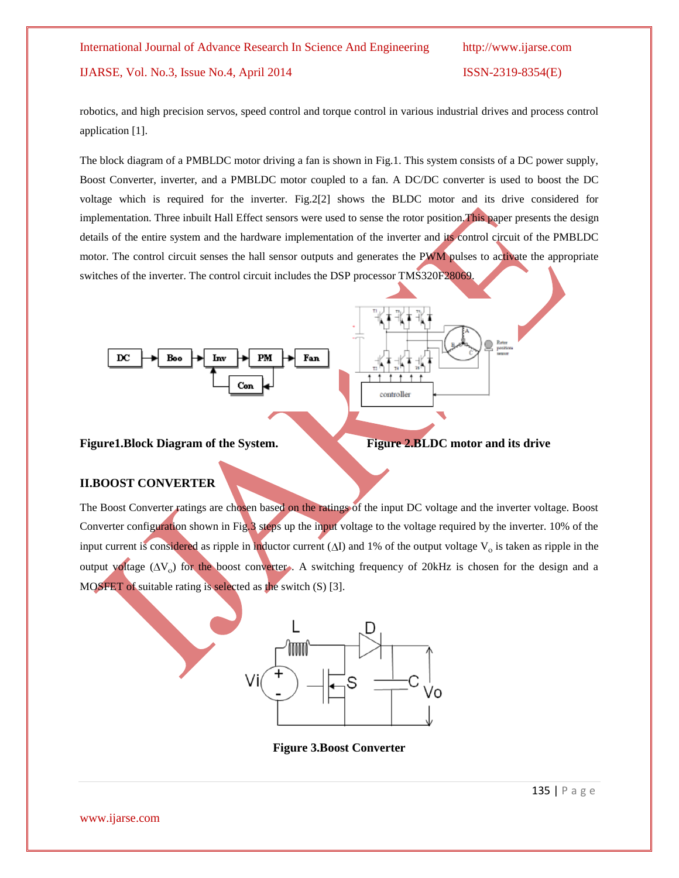# IJARSE, Vol. No.3, Issue No.4, April 2014 ISSN-2319-8354(E)

robotics, and high precision servos, speed control and torque control in various industrial drives and process control application [1].

The block diagram of a PMBLDC motor driving a fan is shown in Fig.1. This system consists of a DC power supply, Boost Converter, inverter, and a PMBLDC motor coupled to a fan. A DC/DC converter is used to boost the DC voltage which is required for the inverter. Fig.2[2] shows the BLDC motor and its drive considered for implementation. Three inbuilt Hall Effect sensors were used to sense the rotor position. This paper presents the design details of the entire system and the hardware implementation of the inverter and its control circuit of the PMBLDC motor. The control circuit senses the hall sensor outputs and generates the PWM pulses to activate the appropriate switches of the inverter. The control circuit includes the DSP processor TMS320F28069.



# Figure1.Block Diagram of the System.<br>Figure 2.BLDC motor and its drive

**II.BOOST CONVERTER**



controller

# The Boost Converter ratings are chosen based on the ratings of the input DC voltage and the inverter voltage. Boost Converter configuration shown in Fig.3 steps up the input voltage to the voltage required by the inverter. 10% of the input current is considered as ripple in inductor current  $(\Delta I)$  and 1% of the output voltage  $V_0$  is taken as ripple in the output voltage  $(\Delta V_0)$  for the boost converter. A switching frequency of 20kHz is chosen for the design and a MOSFET of suitable rating is selected as the switch (S) [3].



**Figure 3.Boost Converter**

www.ijarse.com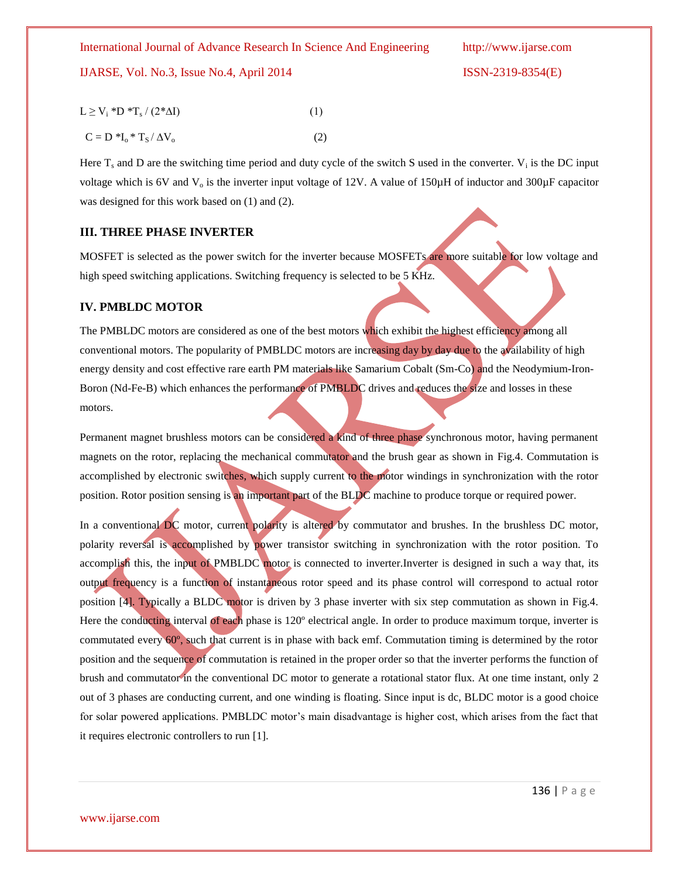# IJARSE, Vol. No.3, Issue No.4, April 2014 ISSN-2319-8354(E)

$$
are.com
$$

www.ij

 $L \ge V_i * D * T_s / (2 * \Delta I)$  (1)  $C = D *I_0 * T_S / \Delta V_0$  (2)

Here  $T_s$  and D are the switching time period and duty cycle of the switch S used in the converter.  $V_i$  is the DC input voltage which is 6V and  $V_0$  is the inverter input voltage of 12V. A value of 150 $\mu$ H of inductor and 300 $\mu$ F capacitor was designed for this work based on (1) and (2).

# **III. THREE PHASE INVERTER**

MOSFET is selected as the power switch for the inverter because MOSFETs are more suitable for low voltage and high speed switching applications. Switching frequency is selected to be 5 KHz.

# **IV. PMBLDC MOTOR**

The PMBLDC motors are considered as one of the best motors which exhibit the highest efficiency among all conventional motors. The popularity of PMBLDC motors are increasing day by day due to the availability of high energy density and cost effective rare earth PM materials like Samarium Cobalt (Sm-Co) and the Neodymium-Iron-Boron (Nd-Fe-B) which enhances the performance of PMBLDC drives and reduces the size and losses in these motors.

Permanent magnet brushless motors can be considered a kind of three phase synchronous motor, having permanent magnets on the rotor, replacing the mechanical commutator and the brush gear as shown in Fig.4. Commutation is accomplished by electronic switches, which supply current to the motor windings in synchronization with the rotor position. Rotor position sensing is an important part of the BLDC machine to produce torque or required power.

In a conventional DC motor, current polarity is altered by commutator and brushes. In the brushless DC motor, polarity reversal is accomplished by power transistor switching in synchronization with the rotor position. To accomplish this, the input of PMBLDC motor is connected to inverter.Inverter is designed in such a way that, its output frequency is a function of instantaneous rotor speed and its phase control will correspond to actual rotor position [4]. Typically a BLDC motor is driven by 3 phase inverter with six step commutation as shown in Fig.4. Here the conducting interval of each phase is 120º electrical angle. In order to produce maximum torque, inverter is commutated every 60º, such that current is in phase with back emf. Commutation timing is determined by the rotor position and the sequence of commutation is retained in the proper order so that the inverter performs the function of brush and commutator in the conventional DC motor to generate a rotational stator flux. At one time instant, only 2 out of 3 phases are conducting current, and one winding is floating. Since input is dc, BLDC motor is a good choice for solar powered applications. PMBLDC motor's main disadvantage is higher cost, which arises from the fact that it requires electronic controllers to run [1].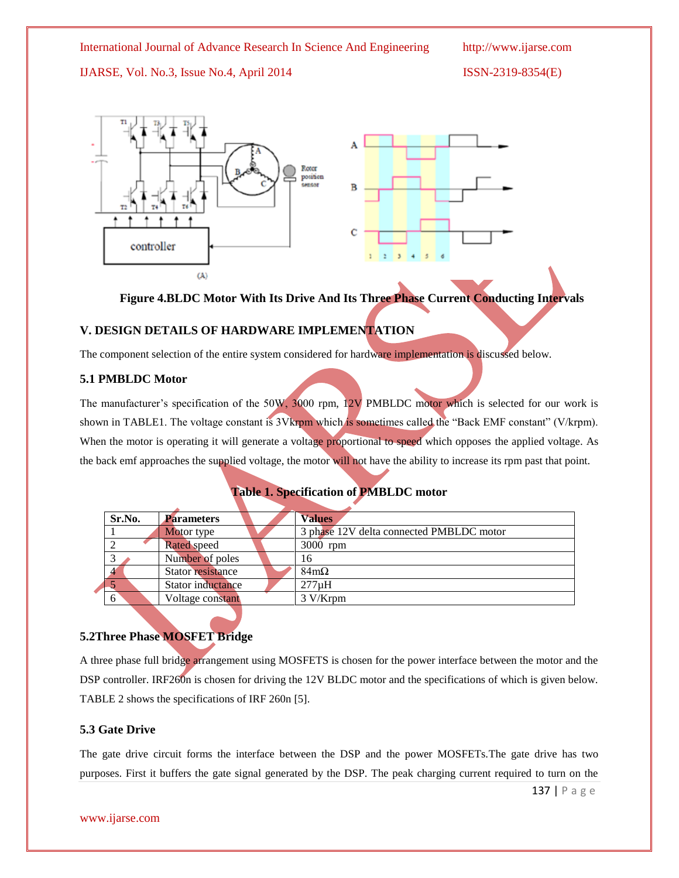IJARSE, Vol. No.3, Issue No.4, April 2014 ISSN-2319-8354(E)



**Figure 4.BLDC Motor With Its Drive And Its Three Phase Current Conducting Intervals**

# **V. DESIGN DETAILS OF HARDWARE IMPLEMENTATION**

The component selection of the entire system considered for hardware implementation is discussed below.

# **5.1 PMBLDC Motor**

The manufacturer's specification of the 50W, 3000 rpm, 12V PMBLDC motor which is selected for our work is shown in TABLE1. The voltage constant is 3Vkrpm which is sometimes called the "Back EMF constant" (V/krpm). When the motor is operating it will generate a voltage proportional to speed which opposes the applied voltage. As the back emf approaches the supplied voltage, the motor will not have the ability to increase its rpm past that point.

# **Table 1. Specification of PMBLDC motor**

| Sr.No. | <b>Parameters</b>  | <b>Values</b>                            |
|--------|--------------------|------------------------------------------|
|        | Motor type         | 3 phase 12V delta connected PMBLDC motor |
|        | <b>Rated</b> speed | 3000 rpm                                 |
|        | Number of poles    | 16                                       |
|        | Stator resistance  | $84m\Omega$                              |
|        | Stator inductance  | $277\mu H$                               |
| 6      | Voltage constant   | 3 V/Krpm                                 |
|        |                    |                                          |

# **5.2Three Phase MOSFET Bridge**

A three phase full bridge arrangement using MOSFETS is chosen for the power interface between the motor and the DSP controller. IRF260n is chosen for driving the 12V BLDC motor and the specifications of which is given below. TABLE 2 shows the specifications of IRF 260n [5].

# **5.3 Gate Drive**

The gate drive circuit forms the interface between the DSP and the power MOSFETs.The gate drive has two purposes. First it buffers the gate signal generated by the DSP. The peak charging current required to turn on the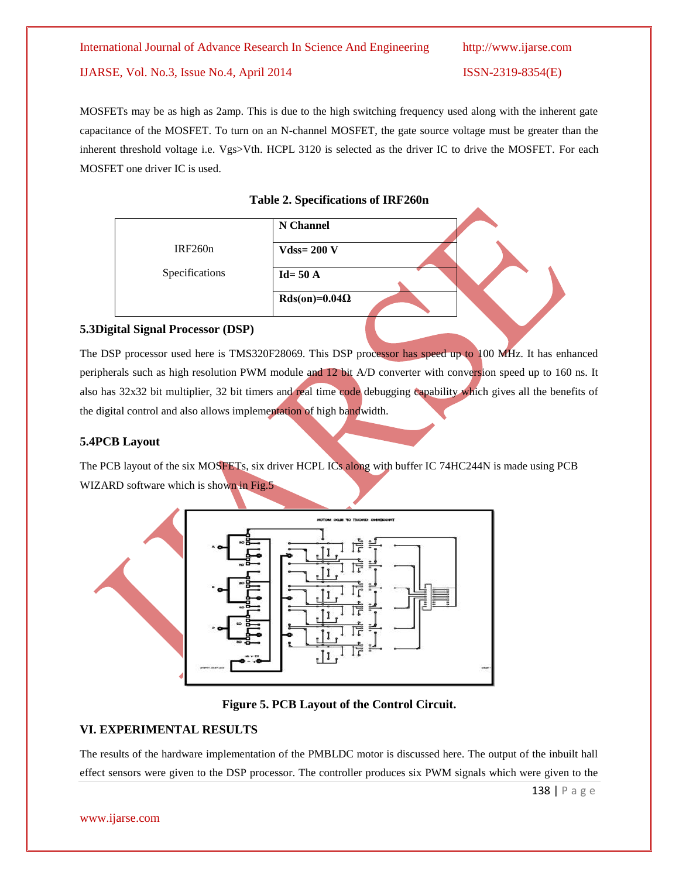# IJARSE, Vol. No.3, Issue No.4, April 2014 ISSN-2319-8354(E)

MOSFETs may be as high as 2amp. This is due to the high switching frequency used along with the inherent gate capacitance of the MOSFET. To turn on an N-channel MOSFET, the gate source voltage must be greater than the inherent threshold voltage i.e. Vgs>Vth. HCPL 3120 is selected as the driver IC to drive the MOSFET. For each MOSFET one driver IC is used.

# **Table 2. Specifications of IRF260n**

|                | N Channel            |  |
|----------------|----------------------|--|
| IRF260n        | $V$ dss= 200 V       |  |
| Specifications | $Id = 50 A$          |  |
|                | $Rds(on)=0.04\Omega$ |  |

# **5.3Digital Signal Processor (DSP)**

The DSP processor used here is TMS320F28069. This DSP processor has speed up to 100 MHz. It has enhanced peripherals such as high resolution PWM module and 12 bit A/D converter with conversion speed up to 160 ns. It also has 32x32 bit multiplier, 32 bit timers and real time code debugging capability which gives all the benefits of the digital control and also allows implementation of high bandwidth.

# **5.4PCB Layout**

The PCB layout of the six MOSFETs, six driver HCPL ICs along with buffer IC 74HC244N is made using PCB WIZARD software which is shown in Fig.5





# **VI. EXPERIMENTAL RESULTS**

The results of the hardware implementation of the PMBLDC motor is discussed here. The output of the inbuilt hall effect sensors were given to the DSP processor. The controller produces six PWM signals which were given to the